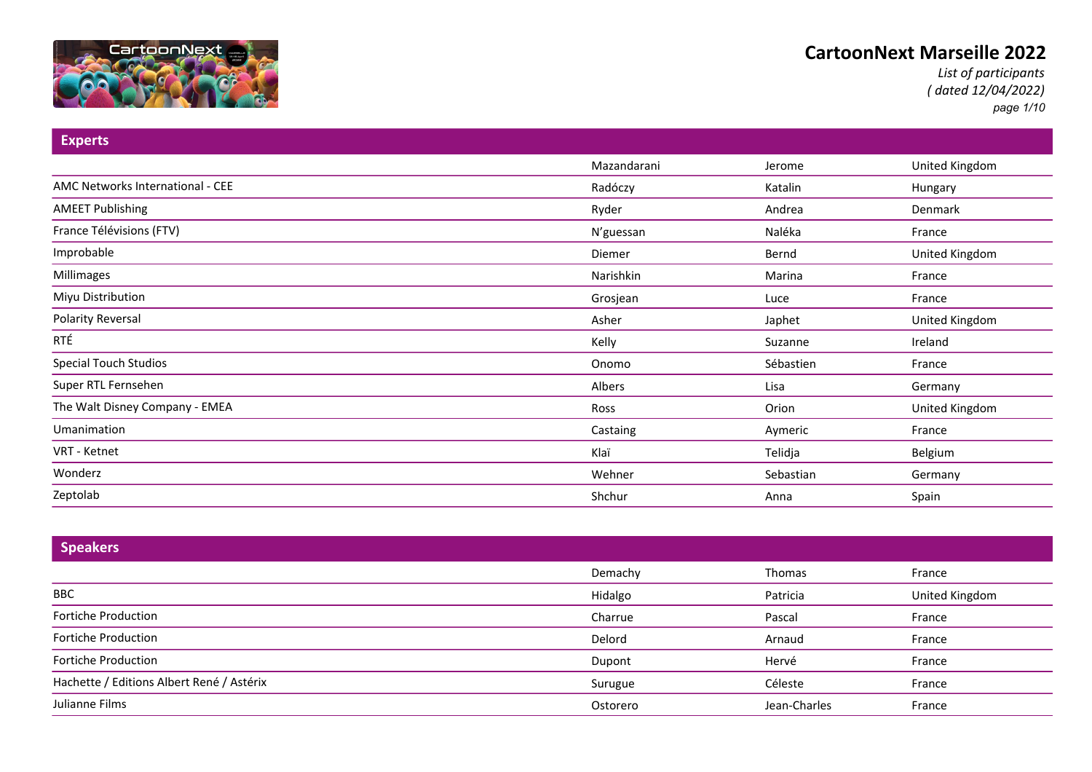

*List of participants ( dated 12/04/2022) page 1/10*

| <b>Experts</b>                   |             |           |                |
|----------------------------------|-------------|-----------|----------------|
|                                  | Mazandarani | Jerome    | United Kingdom |
| AMC Networks International - CEE | Radóczy     | Katalin   | Hungary        |
| <b>AMEET Publishing</b>          | Ryder       | Andrea    | Denmark        |
| France Télévisions (FTV)         | N'guessan   | Naléka    | France         |
| Improbable                       | Diemer      | Bernd     | United Kingdom |
| Millimages                       | Narishkin   | Marina    | France         |
| Miyu Distribution                | Grosjean    | Luce      | France         |
| <b>Polarity Reversal</b>         | Asher       | Japhet    | United Kingdom |
| RTÉ                              | Kelly       | Suzanne   | Ireland        |
| <b>Special Touch Studios</b>     | Onomo       | Sébastien | France         |
| Super RTL Fernsehen              | Albers      | Lisa      | Germany        |
| The Walt Disney Company - EMEA   | Ross        | Orion     | United Kingdom |
| Umanimation                      | Castaing    | Aymeric   | France         |
| VRT - Ketnet                     | Klaï        | Telidja   | Belgium        |
| Wonderz                          | Wehner      | Sebastian | Germany        |
| Zeptolab                         | Shchur      | Anna      | Spain          |

| <b>Speakers</b>                           |          |              |                |
|-------------------------------------------|----------|--------------|----------------|
|                                           | Demachy  | Thomas       | France         |
| BBC                                       | Hidalgo  | Patricia     | United Kingdom |
| Fortiche Production                       | Charrue  | Pascal       | France         |
| Fortiche Production                       | Delord   | Arnaud       | France         |
| Fortiche Production                       | Dupont   | Hervé        | France         |
| Hachette / Editions Albert René / Astérix | Surugue  | Céleste      | France         |
| Julianne Films                            | Ostorero | Jean-Charles | France         |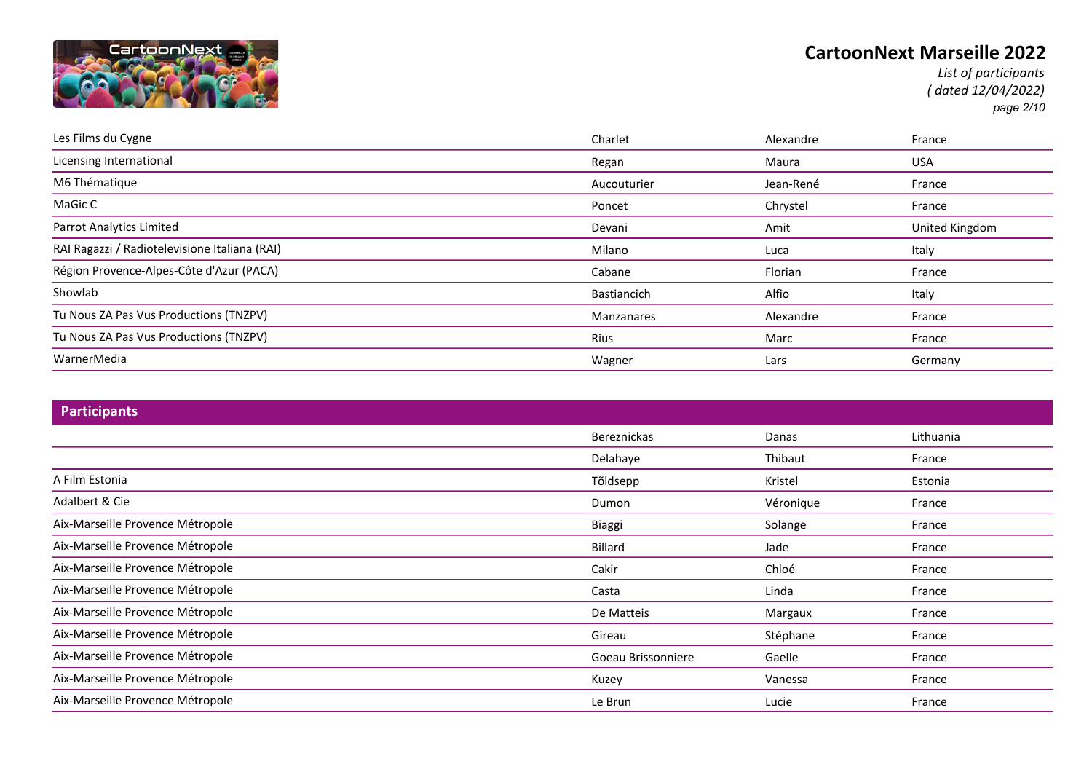

*List of participants ( dated 12/04/2022) page 2/10*

| Les Films du Cygne                            | Charlet           | Alexandre | France         |
|-----------------------------------------------|-------------------|-----------|----------------|
| Licensing International                       | Regan             | Maura     | <b>USA</b>     |
| M6 Thématique                                 | Aucouturier       | Jean-René | France         |
| MaGic C                                       | Poncet            | Chrystel  | France         |
| <b>Parrot Analytics Limited</b>               | Devani            | Amit      | United Kingdom |
| RAI Ragazzi / Radiotelevisione Italiana (RAI) | Milano            | Luca      | Italy          |
| Région Provence-Alpes-Côte d'Azur (PACA)      | Cabane            | Florian   | France         |
| Showlab                                       | Bastiancich       | Alfio     | Italy          |
| Tu Nous ZA Pas Vus Productions (TNZPV)        | <b>Manzanares</b> | Alexandre | France         |
| Tu Nous ZA Pas Vus Productions (TNZPV)        | Rius              | Marc      | France         |
| WarnerMedia                                   | Wagner            | Lars      | Germany        |

| <b>Participants</b>              |                    |           |           |
|----------------------------------|--------------------|-----------|-----------|
|                                  | Bereznickas        | Danas     | Lithuania |
|                                  | Delahaye           | Thibaut   | France    |
| A Film Estonia                   | Tõldsepp           | Kristel   | Estonia   |
| Adalbert & Cie                   | Dumon              | Véronique | France    |
| Aix-Marseille Provence Métropole | Biaggi             | Solange   | France    |
| Aix-Marseille Provence Métropole | Billard            | Jade      | France    |
| Aix-Marseille Provence Métropole | Cakir              | Chloé     | France    |
| Aix-Marseille Provence Métropole | Casta              | Linda     | France    |
| Aix-Marseille Provence Métropole | De Matteis         | Margaux   | France    |
| Aix-Marseille Provence Métropole | Gireau             | Stéphane  | France    |
| Aix-Marseille Provence Métropole | Goeau Brissonniere | Gaelle    | France    |
| Aix-Marseille Provence Métropole | Kuzey              | Vanessa   | France    |
| Aix-Marseille Provence Métropole | Le Brun            | Lucie     | France    |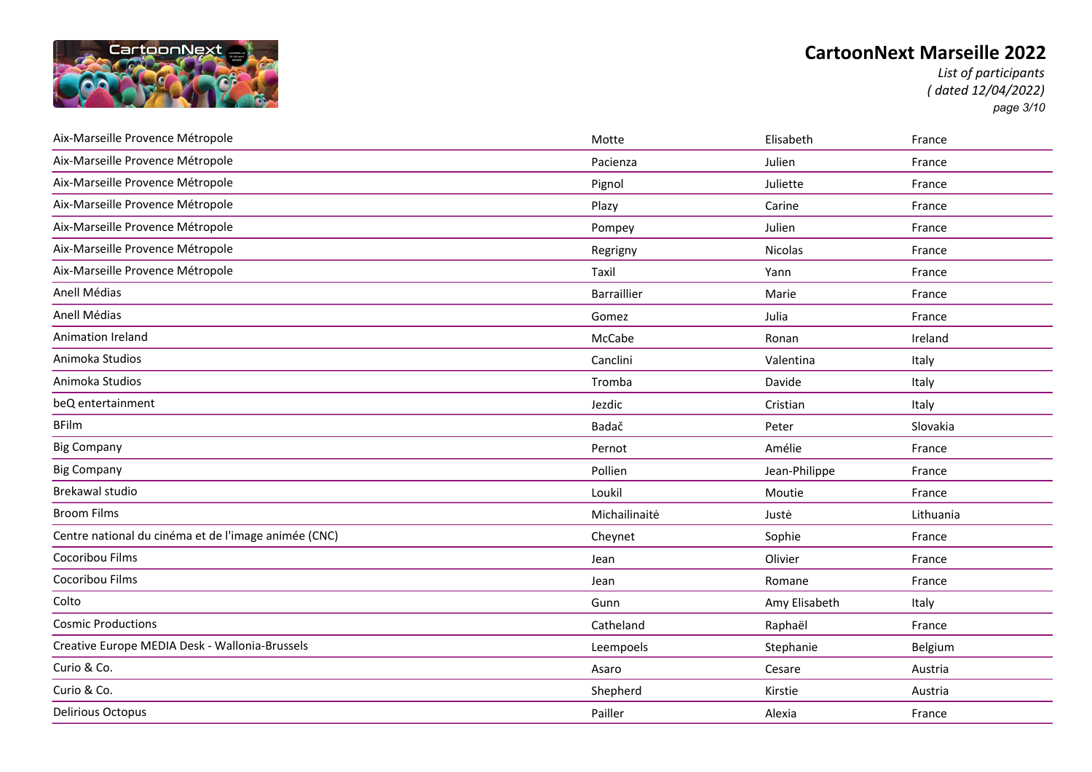

*List of participants ( dated 12/04/2022) page 3/10*

| Aix-Marseille Provence Métropole                     | Motte         | Elisabeth     | France    |
|------------------------------------------------------|---------------|---------------|-----------|
| Aix-Marseille Provence Métropole                     | Pacienza      | Julien        | France    |
| Aix-Marseille Provence Métropole                     | Pignol        | Juliette      | France    |
| Aix-Marseille Provence Métropole                     | Plazy         | Carine        | France    |
| Aix-Marseille Provence Métropole                     | Pompey        | Julien        | France    |
| Aix-Marseille Provence Métropole                     | Regrigny      | Nicolas       | France    |
| Aix-Marseille Provence Métropole                     | Taxil         | Yann          | France    |
| Anell Médias                                         | Barraillier   | Marie         | France    |
| Anell Médias                                         | Gomez         | Julia         | France    |
| Animation Ireland                                    | McCabe        | Ronan         | Ireland   |
| Animoka Studios                                      | Canclini      | Valentina     | Italy     |
| Animoka Studios                                      | Tromba        | Davide        | Italy     |
| beQ entertainment                                    | Jezdic        | Cristian      | Italy     |
| <b>BFilm</b>                                         | Badač         | Peter         | Slovakia  |
| <b>Big Company</b>                                   | Pernot        | Amélie        | France    |
| <b>Big Company</b>                                   | Pollien       | Jean-Philippe | France    |
| <b>Brekawal studio</b>                               | Loukil        | Moutie        | France    |
| <b>Broom Films</b>                                   | Michailinaitė | Justė         | Lithuania |
| Centre national du cinéma et de l'image animée (CNC) | Cheynet       | Sophie        | France    |
| Cocoribou Films                                      | Jean          | Olivier       | France    |
| Cocoribou Films                                      | Jean          | Romane        | France    |
| Colto                                                | Gunn          | Amy Elisabeth | Italy     |
| <b>Cosmic Productions</b>                            | Catheland     | Raphaël       | France    |
| Creative Europe MEDIA Desk - Wallonia-Brussels       | Leempoels     | Stephanie     | Belgium   |
| Curio & Co.                                          | Asaro         | Cesare        | Austria   |
| Curio & Co.                                          | Shepherd      | Kirstie       | Austria   |
| <b>Delirious Octopus</b>                             | Pailler       | Alexia        | France    |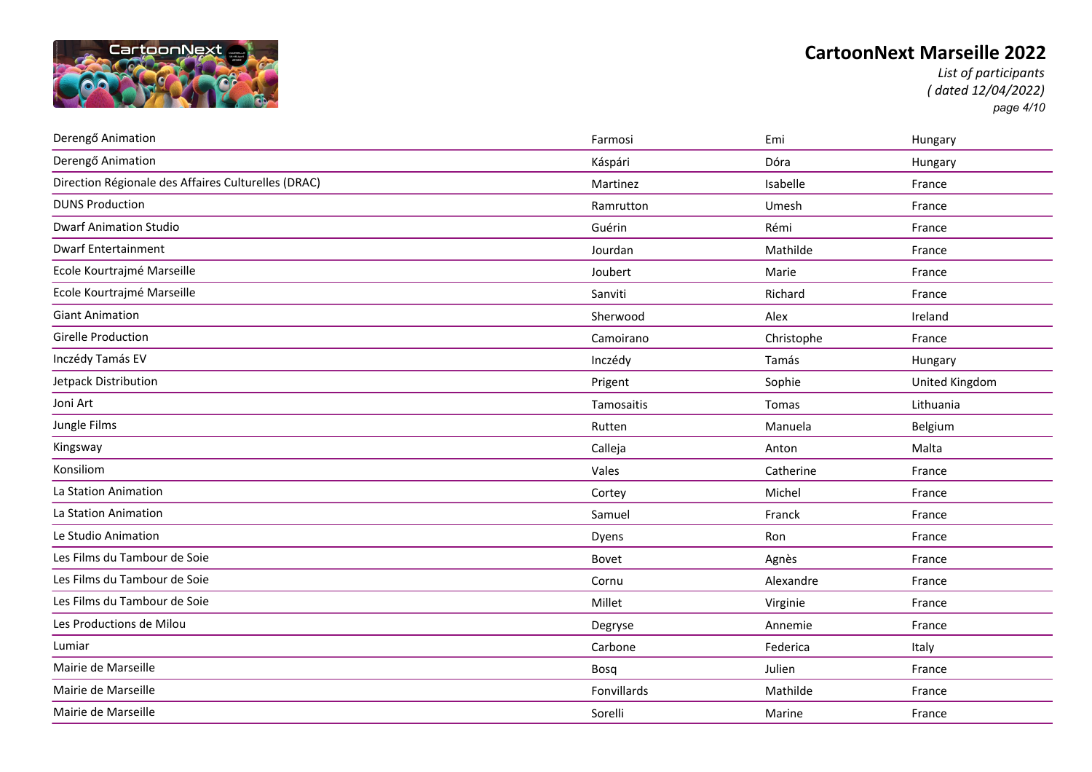

*List of participants ( dated 12/04/2022) page 4/10*

| Derengő Animation                                   | Farmosi     | Emi        | Hungary        |
|-----------------------------------------------------|-------------|------------|----------------|
| Derengő Animation                                   | Káspári     | Dóra       | Hungary        |
| Direction Régionale des Affaires Culturelles (DRAC) | Martinez    | Isabelle   | France         |
| <b>DUNS Production</b>                              | Ramrutton   | Umesh      | France         |
| <b>Dwarf Animation Studio</b>                       | Guérin      | Rémi       | France         |
| <b>Dwarf Entertainment</b>                          | Jourdan     | Mathilde   | France         |
| Ecole Kourtrajmé Marseille                          | Joubert     | Marie      | France         |
| Ecole Kourtrajmé Marseille                          | Sanviti     | Richard    | France         |
| <b>Giant Animation</b>                              | Sherwood    | Alex       | Ireland        |
| <b>Girelle Production</b>                           | Camoirano   | Christophe | France         |
| Inczédy Tamás EV                                    | Inczédy     | Tamás      | Hungary        |
| Jetpack Distribution                                | Prigent     | Sophie     | United Kingdom |
| Joni Art                                            | Tamosaitis  | Tomas      | Lithuania      |
| Jungle Films                                        | Rutten      | Manuela    | Belgium        |
| Kingsway                                            | Calleja     | Anton      | Malta          |
| Konsiliom                                           | Vales       | Catherine  | France         |
| La Station Animation                                | Cortey      | Michel     | France         |
| La Station Animation                                | Samuel      | Franck     | France         |
| Le Studio Animation                                 | Dyens       | Ron        | France         |
| Les Films du Tambour de Soie                        | Bovet       | Agnès      | France         |
| Les Films du Tambour de Soie                        | Cornu       | Alexandre  | France         |
| Les Films du Tambour de Soie                        | Millet      | Virginie   | France         |
| Les Productions de Milou                            | Degryse     | Annemie    | France         |
| Lumiar                                              | Carbone     | Federica   | Italy          |
| Mairie de Marseille                                 | Bosq        | Julien     | France         |
| Mairie de Marseille                                 | Fonvillards | Mathilde   | France         |
| Mairie de Marseille                                 | Sorelli     | Marine     | France         |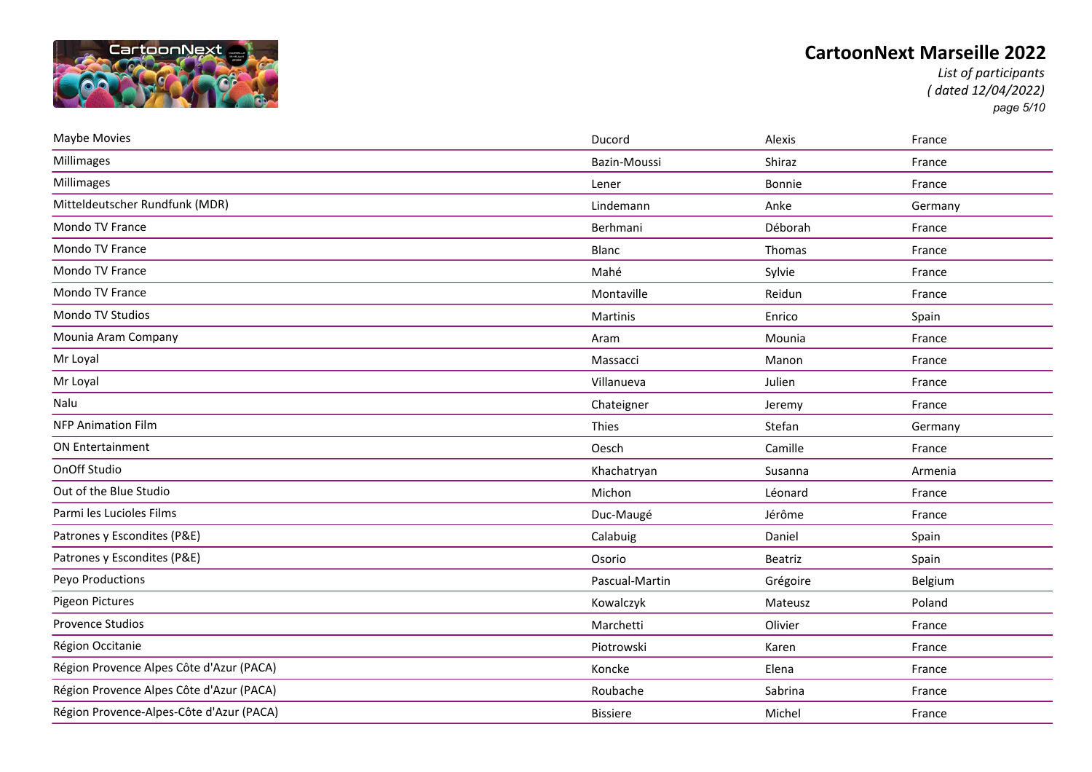

*List of participants ( dated 12/04/2022) page 5/10*

| Maybe Movies                             | Ducord          | Alexis   | France  |
|------------------------------------------|-----------------|----------|---------|
| Millimages                               | Bazin-Moussi    | Shiraz   | France  |
| Millimages                               | Lener           | Bonnie   | France  |
| Mitteldeutscher Rundfunk (MDR)           | Lindemann       | Anke     | Germany |
| Mondo TV France                          | Berhmani        | Déborah  | France  |
| <b>Mondo TV France</b>                   | Blanc           | Thomas   | France  |
| Mondo TV France                          | Mahé            | Sylvie   | France  |
| Mondo TV France                          | Montaville      | Reidun   | France  |
| Mondo TV Studios                         | Martinis        | Enrico   | Spain   |
| Mounia Aram Company                      | Aram            | Mounia   | France  |
| Mr Loyal                                 | Massacci        | Manon    | France  |
| Mr Loyal                                 | Villanueva      | Julien   | France  |
| Nalu                                     | Chateigner      | Jeremy   | France  |
| <b>NFP Animation Film</b>                | Thies           | Stefan   | Germany |
| <b>ON Entertainment</b>                  | Oesch           | Camille  | France  |
| OnOff Studio                             | Khachatryan     | Susanna  | Armenia |
| Out of the Blue Studio                   | Michon          | Léonard  | France  |
| Parmi les Lucioles Films                 | Duc-Maugé       | Jérôme   | France  |
| Patrones y Escondites (P&E)              | Calabuig        | Daniel   | Spain   |
| Patrones y Escondites (P&E)              | Osorio          | Beatriz  | Spain   |
| Peyo Productions                         | Pascual-Martin  | Grégoire | Belgium |
| Pigeon Pictures                          | Kowalczyk       | Mateusz  | Poland  |
| <b>Provence Studios</b>                  | Marchetti       | Olivier  | France  |
| Région Occitanie                         | Piotrowski      | Karen    | France  |
| Région Provence Alpes Côte d'Azur (PACA) | Koncke          | Elena    | France  |
| Région Provence Alpes Côte d'Azur (PACA) | Roubache        | Sabrina  | France  |
| Région Provence-Alpes-Côte d'Azur (PACA) | <b>Bissiere</b> | Michel   | France  |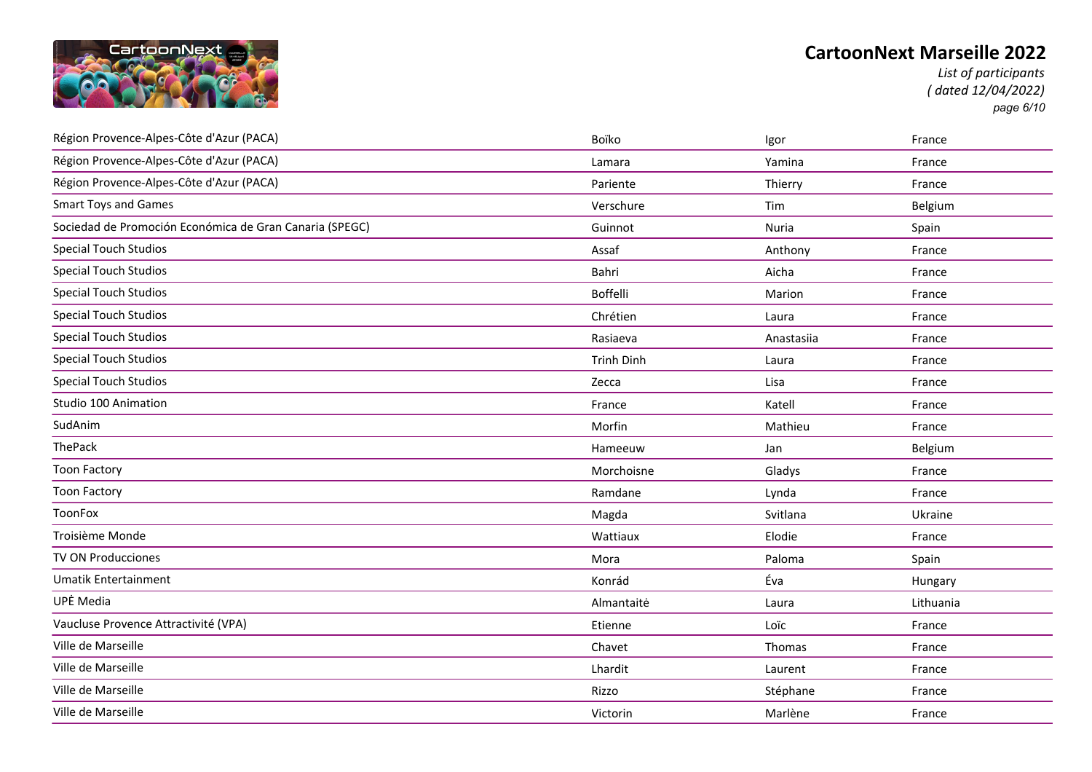

*List of participants ( dated 12/04/2022) page 6/10*

| Région Provence-Alpes-Côte d'Azur (PACA)                | Boïko             | Igor       | France    |
|---------------------------------------------------------|-------------------|------------|-----------|
| Région Provence-Alpes-Côte d'Azur (PACA)                | Lamara            | Yamina     | France    |
| Région Provence-Alpes-Côte d'Azur (PACA)                | Pariente          | Thierry    | France    |
| <b>Smart Toys and Games</b>                             | Verschure         | Tim        | Belgium   |
| Sociedad de Promoción Económica de Gran Canaria (SPEGC) | Guinnot           | Nuria      | Spain     |
| <b>Special Touch Studios</b>                            | Assaf             | Anthony    | France    |
| <b>Special Touch Studios</b>                            | Bahri             | Aicha      | France    |
| <b>Special Touch Studios</b>                            | <b>Boffelli</b>   | Marion     | France    |
| <b>Special Touch Studios</b>                            | Chrétien          | Laura      | France    |
| <b>Special Touch Studios</b>                            | Rasiaeva          | Anastasiia | France    |
| <b>Special Touch Studios</b>                            | <b>Trinh Dinh</b> | Laura      | France    |
| <b>Special Touch Studios</b>                            | Zecca             | Lisa       | France    |
| Studio 100 Animation                                    | France            | Katell     | France    |
| SudAnim                                                 | Morfin            | Mathieu    | France    |
| ThePack                                                 | Hameeuw           | Jan        | Belgium   |
| <b>Toon Factory</b>                                     | Morchoisne        | Gladys     | France    |
| <b>Toon Factory</b>                                     | Ramdane           | Lynda      | France    |
| ToonFox                                                 | Magda             | Svitlana   | Ukraine   |
| Troisième Monde                                         | Wattiaux          | Elodie     | France    |
| TV ON Producciones                                      | Mora              | Paloma     | Spain     |
| <b>Umatik Entertainment</b>                             | Konrád            | Éva        | Hungary   |
| UPĖ Media                                               | Almantaitė        | Laura      | Lithuania |
| Vaucluse Provence Attractivité (VPA)                    | Etienne           | Loïc       | France    |
| Ville de Marseille                                      | Chavet            | Thomas     | France    |
| Ville de Marseille                                      | Lhardit           | Laurent    | France    |
| Ville de Marseille                                      | Rizzo             | Stéphane   | France    |
| Ville de Marseille                                      | Victorin          | Marlène    | France    |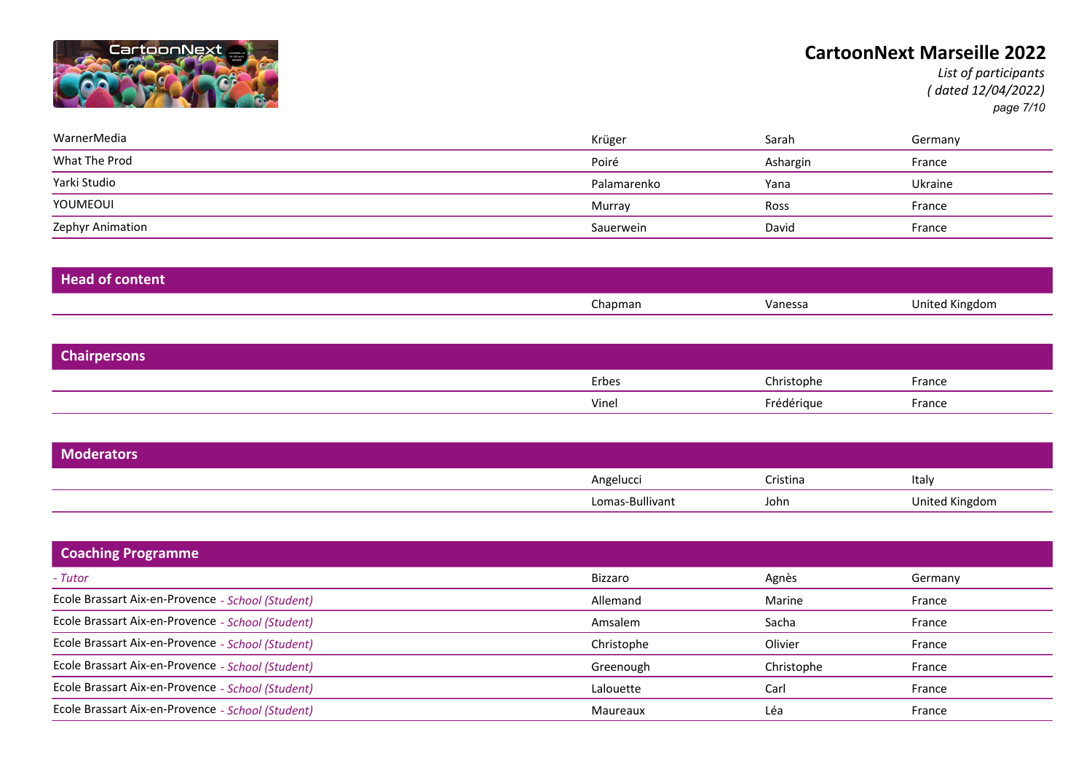

*List of participants ( dated 12/04/2022) page 7/10*

| WarnerMedia      | Krüger      | Sarah    | Germany |
|------------------|-------------|----------|---------|
| What The Prod    | Poiré       | Ashargin | France  |
| Yarki Studio     | Palamarenko | Yana     | Ukraine |
| YOUMEOUI         | Murray      | Ross     | France  |
| Zephyr Animation | Sauerwein   | David    | France  |

| <b>Head of content</b> |         |         |                |
|------------------------|---------|---------|----------------|
|                        | Chapman | Vanessa | United Kingdom |

| <b>Chairpersons</b> |       |            |        |  |
|---------------------|-------|------------|--------|--|
|                     | Erbes | Christophe | France |  |
|                     | Vinei | Frédérique | France |  |

| Moderators |                 |          |                |
|------------|-----------------|----------|----------------|
|            | Angelucci       | Cristina | Italy          |
|            | Lomas-Bullivant | John     | United Kingdom |

| <b>Coaching Programme</b>                         |            |            |         |
|---------------------------------------------------|------------|------------|---------|
| - Tutor                                           | Bizzaro    | Agnès      | Germany |
| Ecole Brassart Aix-en-Provence - School (Student) | Allemand   | Marine     | France  |
| Ecole Brassart Aix-en-Provence - School (Student) | Amsalem    | Sacha      | France  |
| Ecole Brassart Aix-en-Provence - School (Student) | Christophe | Olivier    | France  |
| Ecole Brassart Aix-en-Provence - School (Student) | Greenough  | Christophe | France  |
| Ecole Brassart Aix-en-Provence - School (Student) | Lalouette  | Carl       | France  |
| Ecole Brassart Aix-en-Provence - School (Student) | Maureaux   | Léa        | France  |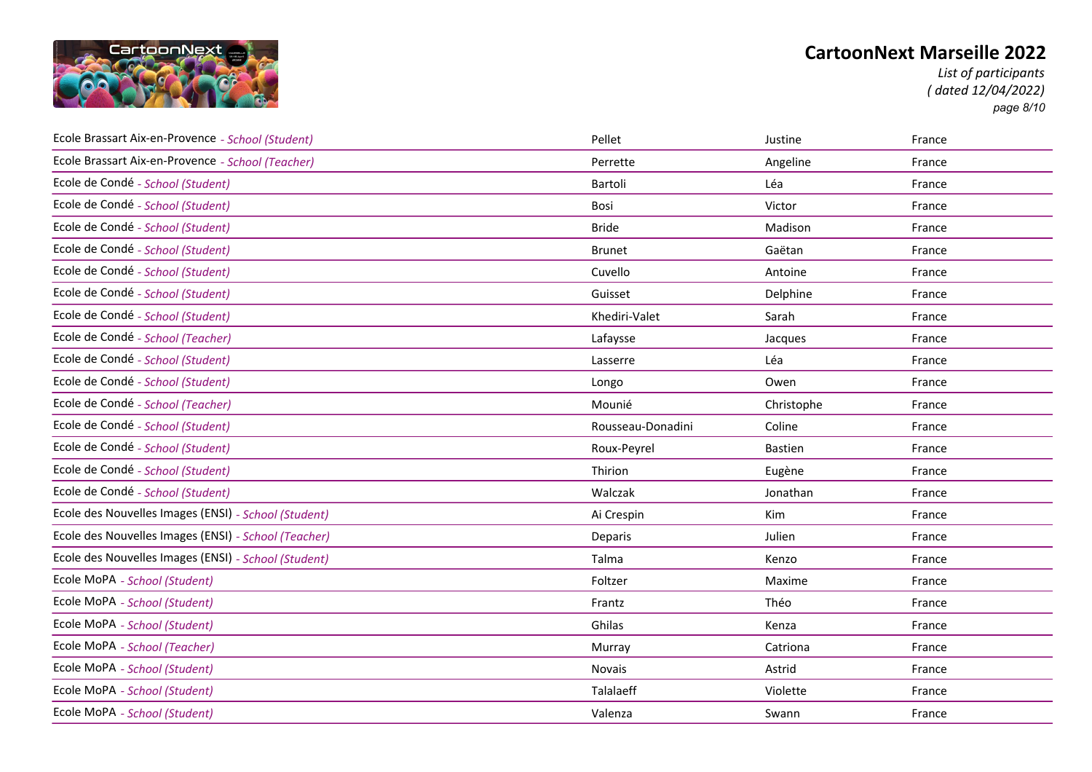

*List of participants ( dated 12/04/2022) page 8/10*

| Ecole Brassart Aix-en-Provence - School (Student)    | Pellet            | Justine        | France |
|------------------------------------------------------|-------------------|----------------|--------|
| Ecole Brassart Aix-en-Provence - School (Teacher)    | Perrette          | Angeline       | France |
| Ecole de Condé - School (Student)                    | Bartoli           | Léa            | France |
| Ecole de Condé - School (Student)                    | Bosi              | Victor         | France |
| Ecole de Condé - School (Student)                    | <b>Bride</b>      | Madison        | France |
| Ecole de Condé - School (Student)                    | <b>Brunet</b>     | Gaëtan         | France |
| Ecole de Condé - School (Student)                    | Cuvello           | Antoine        | France |
| Ecole de Condé - School (Student)                    | Guisset           | Delphine       | France |
| Ecole de Condé - School (Student)                    | Khediri-Valet     | Sarah          | France |
| Ecole de Condé - School (Teacher)                    | Lafaysse          | Jacques        | France |
| Ecole de Condé - School (Student)                    | Lasserre          | Léa            | France |
| Ecole de Condé - School (Student)                    | Longo             | Owen           | France |
| Ecole de Condé - School (Teacher)                    | Mounié            | Christophe     | France |
| Ecole de Condé - School (Student)                    | Rousseau-Donadini | Coline         | France |
| Ecole de Condé - School (Student)                    | Roux-Peyrel       | <b>Bastien</b> | France |
| Ecole de Condé - School (Student)                    | Thirion           | Eugène         | France |
| Ecole de Condé - School (Student)                    | Walczak           | Jonathan       | France |
| Ecole des Nouvelles Images (ENSI) - School (Student) | Ai Crespin        | Kim            | France |
| Ecole des Nouvelles Images (ENSI) - School (Teacher) | Deparis           | Julien         | France |
| Ecole des Nouvelles Images (ENSI) - School (Student) | Talma             | Kenzo          | France |
| Ecole MoPA - School (Student)                        | Foltzer           | Maxime         | France |
| Ecole MoPA - School (Student)                        | Frantz            | Théo           | France |
| Ecole MoPA - School (Student)                        | Ghilas            | Kenza          | France |
| Ecole MoPA - School (Teacher)                        | Murray            | Catriona       | France |
| Ecole MoPA - School (Student)                        | Novais            | Astrid         | France |
| Ecole MoPA - School (Student)                        | Talalaeff         | Violette       | France |
| Ecole MoPA - School (Student)                        | Valenza           | Swann          | France |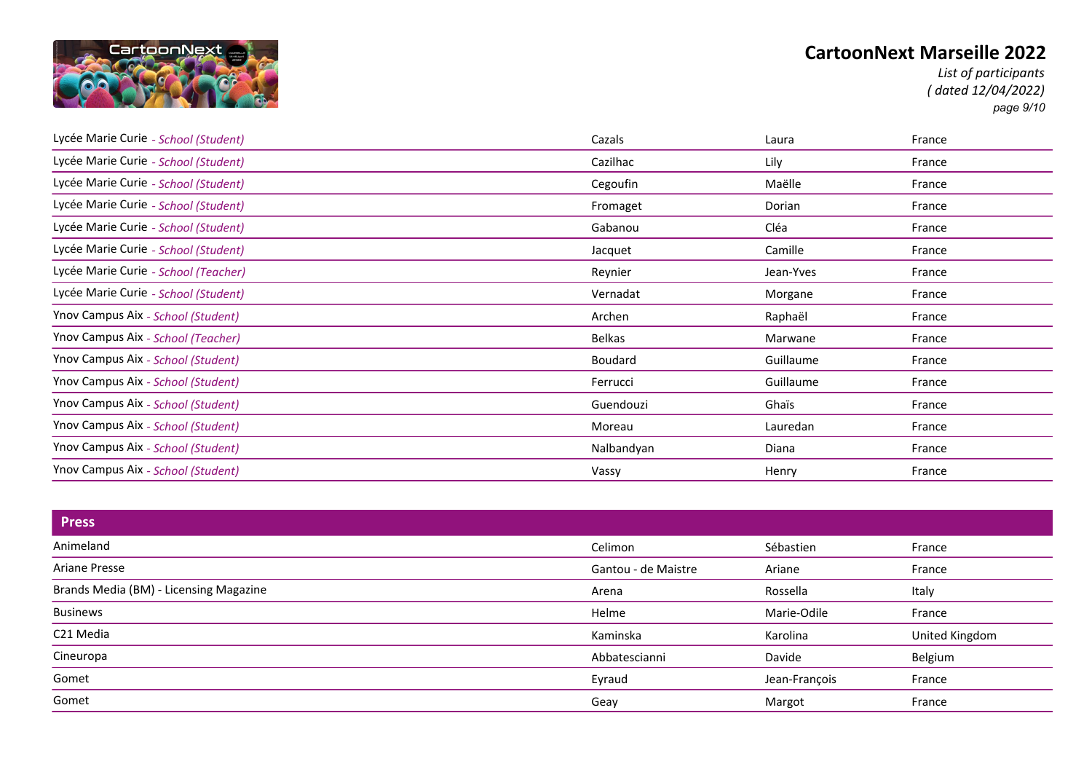

*List of participants ( dated 12/04/2022) page 9/10*

| Lycée Marie Curie - School (Student) | Cazals        | Laura     | France |
|--------------------------------------|---------------|-----------|--------|
| Lycée Marie Curie - School (Student) | Cazilhac      | Lily      | France |
| Lycée Marie Curie - School (Student) | Cegoufin      | Maëlle    | France |
| Lycée Marie Curie - School (Student) | Fromaget      | Dorian    | France |
| Lycée Marie Curie - School (Student) | Gabanou       | Cléa      | France |
| Lycée Marie Curie - School (Student) | Jacquet       | Camille   | France |
| Lycée Marie Curie - School (Teacher) | Reynier       | Jean-Yves | France |
| Lycée Marie Curie - School (Student) | Vernadat      | Morgane   | France |
| Ynov Campus Aix - School (Student)   | Archen        | Raphaël   | France |
| Ynov Campus Aix - School (Teacher)   | <b>Belkas</b> | Marwane   | France |
| Ynov Campus Aix - School (Student)   | Boudard       | Guillaume | France |
| Ynov Campus Aix - School (Student)   | Ferrucci      | Guillaume | France |
| Ynov Campus Aix - School (Student)   | Guendouzi     | Ghaïs     | France |
| Ynov Campus Aix - School (Student)   | Moreau        | Lauredan  | France |
| Ynov Campus Aix - School (Student)   | Nalbandyan    | Diana     | France |
| Ynov Campus Aix - School (Student)   | Vassy         | Henry     | France |

| <b>Press</b>                           |                     |               |                |
|----------------------------------------|---------------------|---------------|----------------|
| Animeland                              | Celimon             | Sébastien     | France         |
| Ariane Presse                          | Gantou - de Maistre | Ariane        | France         |
| Brands Media (BM) - Licensing Magazine | Arena               | Rossella      | Italy          |
| <b>Businews</b>                        | Helme               | Marie-Odile   | France         |
| C21 Media                              | Kaminska            | Karolina      | United Kingdom |
| Cineuropa                              | Abbatescianni       | Davide        | Belgium        |
| Gomet                                  | Eyraud              | Jean-François | France         |
| Gomet                                  | Geay                | Margot        | France         |